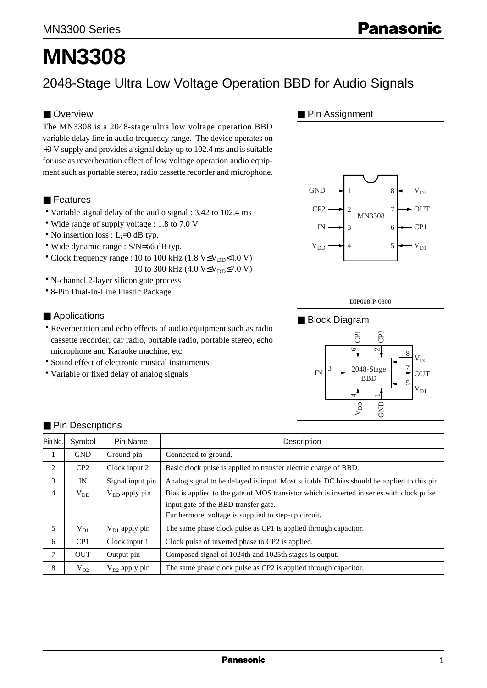# **MN3308**

2048-Stage Ultra Low Voltage Operation BBD for Audio Signals

# ■ Overview

The MN3308 is a 2048-stage ultra low voltage operation BBD variable delay line in audio frequency range. The device operates on +3 V supply and provides a signal delay up to 102.4 ms and is suitable for use as reverberation effect of low voltage operation audio equipment such as portable stereo, radio cassette recorder and microphone.

## ■ Features

- Variable signal delay of the audio signal : 3.42 to 102.4 ms
- Wide range of supply voltage : 1.8 to 7.0 V
- No insertion loss :  $L_i=0$  dB typ.
- Wide dynamic range : S/N=66 dB typ.
- Clock frequency range : 10 to 100 kHz (1.8  $V \leq V_{DD}$  < 4.0 V)
- 10 to 300 kHz (4.0  $V \leq V_{DD} \leq 7.0 V$ ) • N-channel 2-layer silicon gate process
- 8-Pin Dual-In-Line Plastic Package

#### ■ Applications

- Reverberation and echo effects of audio equipment such as radio cassette recorder, car radio, portable radio, portable stereo, echo microphone and Karaoke machine, etc.
- Sound effect of electronic musical instruments
- Variable or fixed delay of analog signals

#### ■ Pin Assignment



#### ■ Block Diagram



| Pin No.        | Symbol     | Pin Name           | Description                                                                                |
|----------------|------------|--------------------|--------------------------------------------------------------------------------------------|
| 1              | <b>GND</b> | Ground pin         | Connected to ground.                                                                       |
| 2              | CP2        | Clock input 2      | Basic clock pulse is applied to transfer electric charge of BBD.                           |
| 3              | IN         | Signal input pin   | Analog signal to be delayed is input. Most suitable DC bias should be applied to this pin. |
| $\overline{4}$ | $V_{DD}$   | $V_{DD}$ apply pin | Bias is applied to the gate of MOS transistor which is inserted in series with clock pulse |
|                |            |                    | input gate of the BBD transfer gate.                                                       |
|                |            |                    | Furthermore, voltage is supplied to step-up circuit.                                       |
| 5              | $V_{D1}$   | $V_{D1}$ apply pin | The same phase clock pulse as CP1 is applied through capacitor.                            |
| 6              | CP1        | Clock input 1      | Clock pulse of inverted phase to CP2 is applied.                                           |
| $\tau$         | <b>OUT</b> | Output pin         | Composed signal of 1024th and 1025th stages is output.                                     |
| 8              | $V_{D2}$   | $V_{D2}$ apply pin | The same phase clock pulse as CP2 is applied through capacitor.                            |

## ■ Pin Descriptions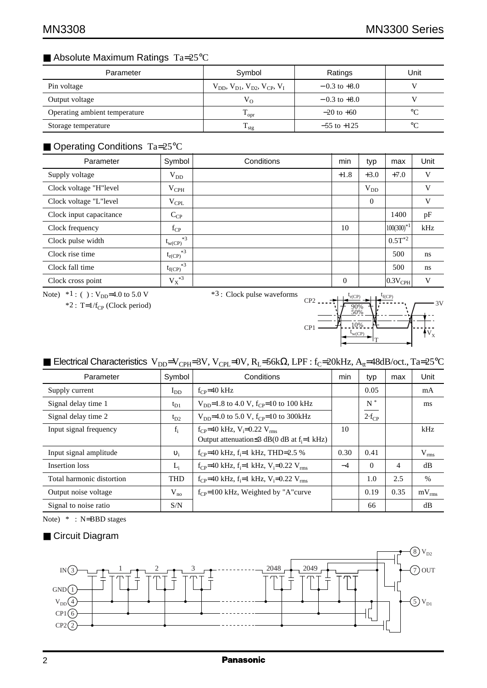# ■ Absolute Maximum Ratings Ta=25°C

| Parameter                     | Symbol                                              | Ratings          | Unit        |
|-------------------------------|-----------------------------------------------------|------------------|-------------|
| Pin voltage                   | $V_{DD}$ , $V_{D1}$ , $V_{D2}$ , $V_{CP}$ , $V_{L}$ | $-0.3$ to $+8.0$ |             |
| Output voltage                | $V_{O}$                                             | $-0.3$ to $+8.0$ |             |
| Operating ambient temperature | $\rm T_{\rm opr}$                                   | $-20$ to $+60$   | $^{\circ}C$ |
| Storage temperature           | $T_{\rm stg}$                                       | $-55$ to $+125$  | $^{\circ}C$ |

# ■ Operating Conditions Ta=25°C

| Parameter               | Symbol              | Conditions | min            | typ      | max                   | Unit |
|-------------------------|---------------------|------------|----------------|----------|-----------------------|------|
| Supply voltage          | $V_{DD}$            |            | $+1.8$         | $+3.0$   | $+7.0$                | V    |
| Clock voltage "H"level  | $V_{\rm{CPH}}$      |            |                | $V_{DD}$ |                       | V    |
| Clock voltage "L"level  | $V_{\rm CPL}$       |            |                | $\Omega$ |                       | V    |
| Clock input capacitance | $C_{CP}$            |            |                |          | 1400                  | pF   |
| Clock frequency         | $f_{CP}$            |            | 10             |          | $100(300)^{*1}$       | kHz  |
| Clock pulse width       | $*3$<br>$t_{w(CP)}$ |            |                |          | $0.5T^{*2}$           |      |
| Clock rise time         | $*3$<br>$t_{r(CP)}$ |            |                |          | 500                   | ns   |
| Clock fall time         | $*3$<br>$t_{f(CP)}$ |            |                |          | 500                   | ns   |
| Clock cross point       | $\mathbf{V_X}^{*3}$ |            | $\overline{0}$ |          | $ 0.3V_{\text{CPH}} $ | V    |

Note)  $*1$  : ( ) :  $V_{DD}$ =4.0 to 5.0 V

 $*2$ : T=1/f<sub>CP</sub> (Clock period)

\*3 : Clock pulse waveforms



# ■ Electrical Characteristics V<sub>DD</sub>=V<sub>CPH</sub>=3V, V<sub>CPL</sub>=0V, R<sub>L</sub>=56kΩ, LPF : f<sub>C</sub>=20kHz, A<sub>tt</sub>=48dB/oct., Ta=25°C

| Parameter                 | Symbol     | Conditions                                                                     | min  | typ        | max  | Unit          |
|---------------------------|------------|--------------------------------------------------------------------------------|------|------------|------|---------------|
| Supply current            | $I_{DD}$   | $f_{CP} = 40$ kHz                                                              |      | 0.05       |      | mA            |
| Signal delay time 1       | $t_{D1}$   | $V_{\text{DD}}=1.8$ to 4.0 V, f <sub>CP</sub> =10 to 100 kHz                   |      | $N^*$      |      | ms            |
| Signal delay time 2       | $t_{D2}$   | $V_{DD}$ =4.0 to 5.0 V, f <sub>CP</sub> =10 to 300kHz                          |      | $2-f_{CP}$ |      |               |
| Input signal frequency    | $f_i$      | $f_{CP}$ =40 kHz, V <sub>i</sub> =0.22 V <sub>rms</sub>                        | 10   |            |      | kHz           |
|                           |            | Output attenuation $\leq$ 3 dB(0 dB at f <sub>i</sub> =1 kHz)                  |      |            |      |               |
| Input signal amplitude    | $v_i$      | $f_{CP}$ =40 kHz, $f_i$ =1 kHz, THD=2.5 %                                      | 0.30 | 0.41       |      | $V_{rms}$     |
| Insertion loss            | $L_i$      | $f_{CP}$ =40 kHz, f <sub>i</sub> =1 kHz, V <sub>i</sub> =0.22 V <sub>rms</sub> | $-4$ | $\Omega$   | 4    | dB            |
| Total harmonic distortion | <b>THD</b> | $f_{CP}$ =40 kHz, $f_i$ =1 kHz, $V_i$ =0.22 $V_{rms}$                          |      | 1.0        | 2.5  | $\frac{0}{0}$ |
| Output noise voltage      | $V_{no}$   | $f_{CP}$ =100 kHz, Weighted by "A" curve                                       |      | 0.19       | 0.35 | $mV_{rms}$    |
| Signal to noise ratio     | S/N        |                                                                                |      | 66         |      | dB            |

Note) \* : N=BBD stages

## ■ Circuit Diagram

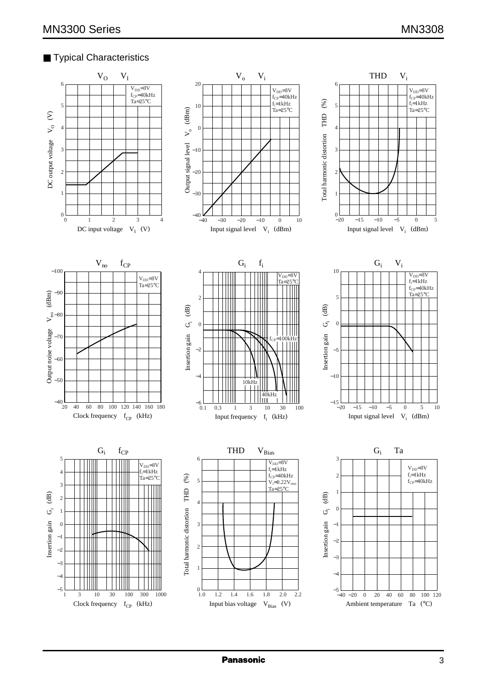## ■ Typical Characteristics

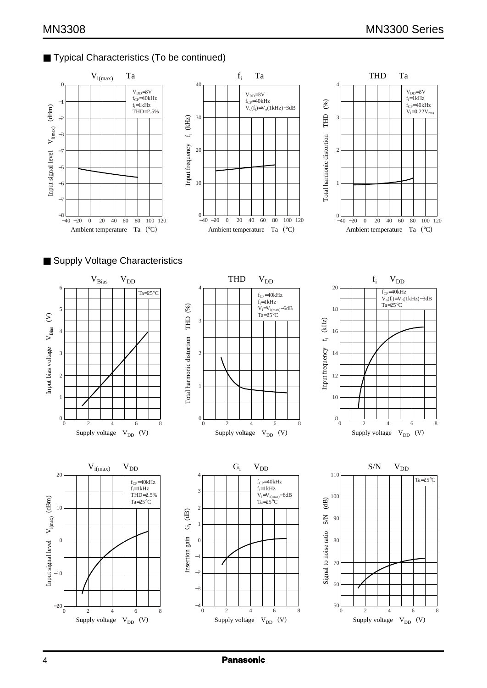# ■ Typical Characteristics (To be continued)